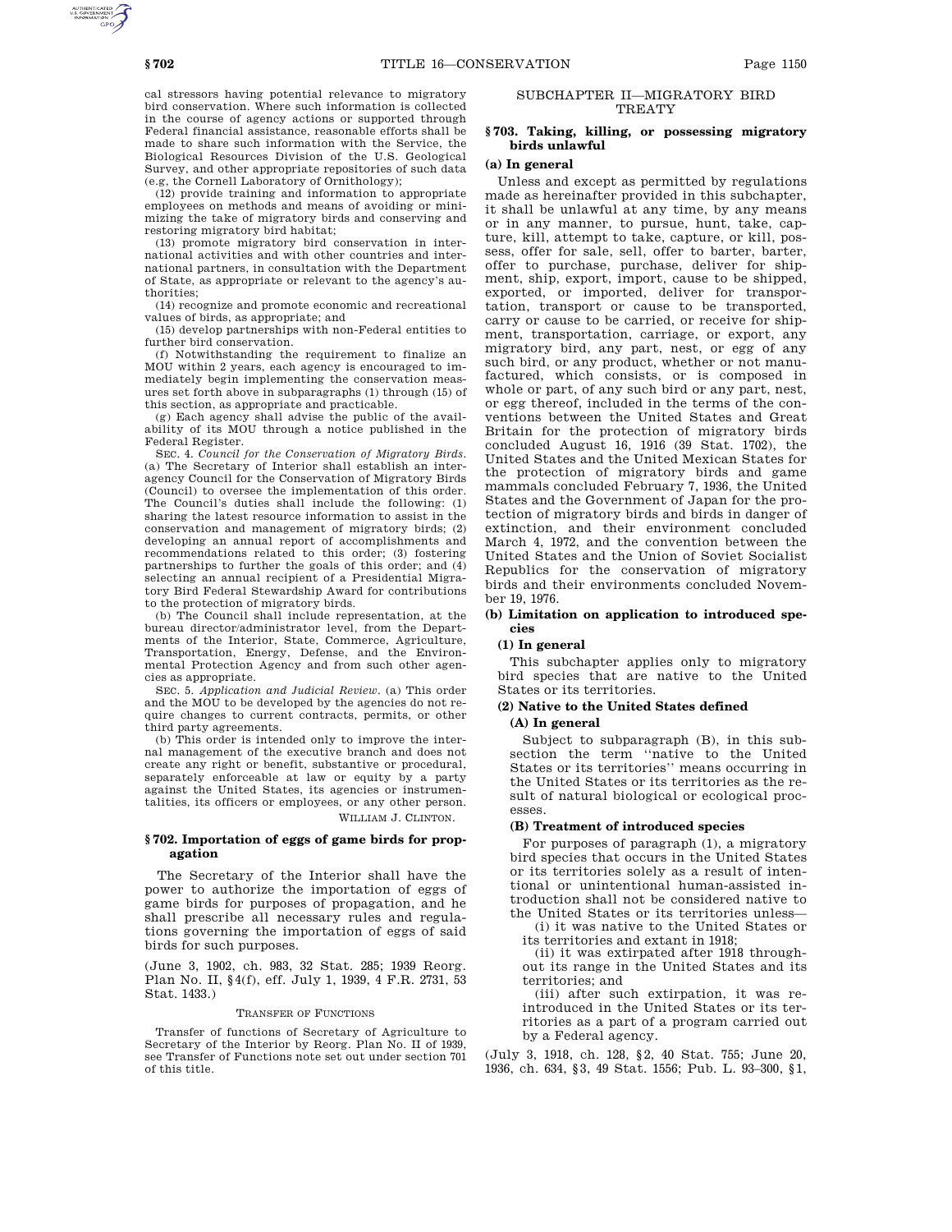cal stressors having potential relevance to migratory bird conservation. Where such information is collected in the course of agency actions or supported through Federal financial assistance, reasonable efforts shall be made to share such information with the Service, the Biological Resources Division of the U.S. Geological Survey, and other appropriate repositories of such data (e.g, the Cornell Laboratory of Ornithology);

(12) provide training and information to appropriate employees on methods and means of avoiding or minimizing the take of migratory birds and conserving and restoring migratory bird habitat;

(13) promote migratory bird conservation in international activities and with other countries and international partners, in consultation with the Department of State, as appropriate or relevant to the agency's authorities;

(14) recognize and promote economic and recreational values of birds, as appropriate; and

(15) develop partnerships with non-Federal entities to further bird conservation.

(f) Notwithstanding the requirement to finalize an MOU within 2 years, each agency is encouraged to immediately begin implementing the conservation measures set forth above in subparagraphs (1) through (15) of this section, as appropriate and practicable.

(g) Each agency shall advise the public of the availability of its MOU through a notice published in the Federal Register.

SEC. 4. *Council for the Conservation of Migratory Birds*. (a) The Secretary of Interior shall establish an interagency Council for the Conservation of Migratory Birds (Council) to oversee the implementation of this order. The Council's duties shall include the following: (1) sharing the latest resource information to assist in the conservation and management of migratory birds; (2) developing an annual report of accomplishments and recommendations related to this order; (3) fostering partnerships to further the goals of this order; and (4) selecting an annual recipient of a Presidential Migratory Bird Federal Stewardship Award for contributions to the protection of migratory birds.

(b) The Council shall include representation, at the bureau director/administrator level, from the Departments of the Interior, State, Commerce, Agriculture, Transportation, Energy, Defense, and the Environmental Protection Agency and from such other agencies as appropriate.

SEC. 5. *Application and Judicial Review*. (a) This order and the MOU to be developed by the agencies do not require changes to current contracts, permits, or other third party agreements.

(b) This order is intended only to improve the internal management of the executive branch and does not create any right or benefit, substantive or procedural, separately enforceable at law or equity by a party against the United States, its agencies or instrumentalities, its officers or employees, or any other person. WILLIAM J. CLINTON.

# **§ 702. Importation of eggs of game birds for propagation**

The Secretary of the Interior shall have the power to authorize the importation of eggs of game birds for purposes of propagation, and he shall prescribe all necessary rules and regulations governing the importation of eggs of said birds for such purposes.

(June 3, 1902, ch. 983, 32 Stat. 285; 1939 Reorg. Plan No. II, §4(f), eff. July 1, 1939, 4 F.R. 2731, 53 Stat. 1433.)

### TRANSFER OF FUNCTIONS

Transfer of functions of Secretary of Agriculture to Secretary of the Interior by Reorg. Plan No. II of 1939, see Transfer of Functions note set out under section 701 of this title.

# SUBCHAPTER II—MIGRATORY BIRD **TREATY**

## **§ 703. Taking, killing, or possessing migratory birds unlawful**

# **(a) In general**

Unless and except as permitted by regulations made as hereinafter provided in this subchapter, it shall be unlawful at any time, by any means or in any manner, to pursue, hunt, take, capture, kill, attempt to take, capture, or kill, possess, offer for sale, sell, offer to barter, barter, offer to purchase, purchase, deliver for shipment, ship, export, import, cause to be shipped, exported, or imported, deliver for transportation, transport or cause to be transported, carry or cause to be carried, or receive for shipment, transportation, carriage, or export, any migratory bird, any part, nest, or egg of any such bird, or any product, whether or not manufactured, which consists, or is composed in whole or part, of any such bird or any part, nest, or egg thereof, included in the terms of the conventions between the United States and Great Britain for the protection of migratory birds concluded August 16, 1916 (39 Stat. 1702), the United States and the United Mexican States for the protection of migratory birds and game mammals concluded February 7, 1936, the United States and the Government of Japan for the protection of migratory birds and birds in danger of extinction, and their environment concluded March 4, 1972, and the convention between the United States and the Union of Soviet Socialist Republics for the conservation of migratory birds and their environments concluded November 19, 1976.

## **(b) Limitation on application to introduced species**

## **(1) In general**

This subchapter applies only to migratory bird species that are native to the United States or its territories.

## **(2) Native to the United States defined**

# **(A) In general**

Subject to subparagraph (B), in this subsection the term "native to the United States or its territories'' means occurring in the United States or its territories as the result of natural biological or ecological processes.

### **(B) Treatment of introduced species**

For purposes of paragraph (1), a migratory bird species that occurs in the United States or its territories solely as a result of intentional or unintentional human-assisted introduction shall not be considered native to the United States or its territories unless—

(i) it was native to the United States or its territories and extant in 1918;

(ii) it was extirpated after 1918 throughout its range in the United States and its territories; and

(iii) after such extirpation, it was reintroduced in the United States or its territories as a part of a program carried out by a Federal agency.

(July 3, 1918, ch. 128, §2, 40 Stat. 755; June 20, 1936, ch. 634, §3, 49 Stat. 1556; Pub. L. 93–300, §1,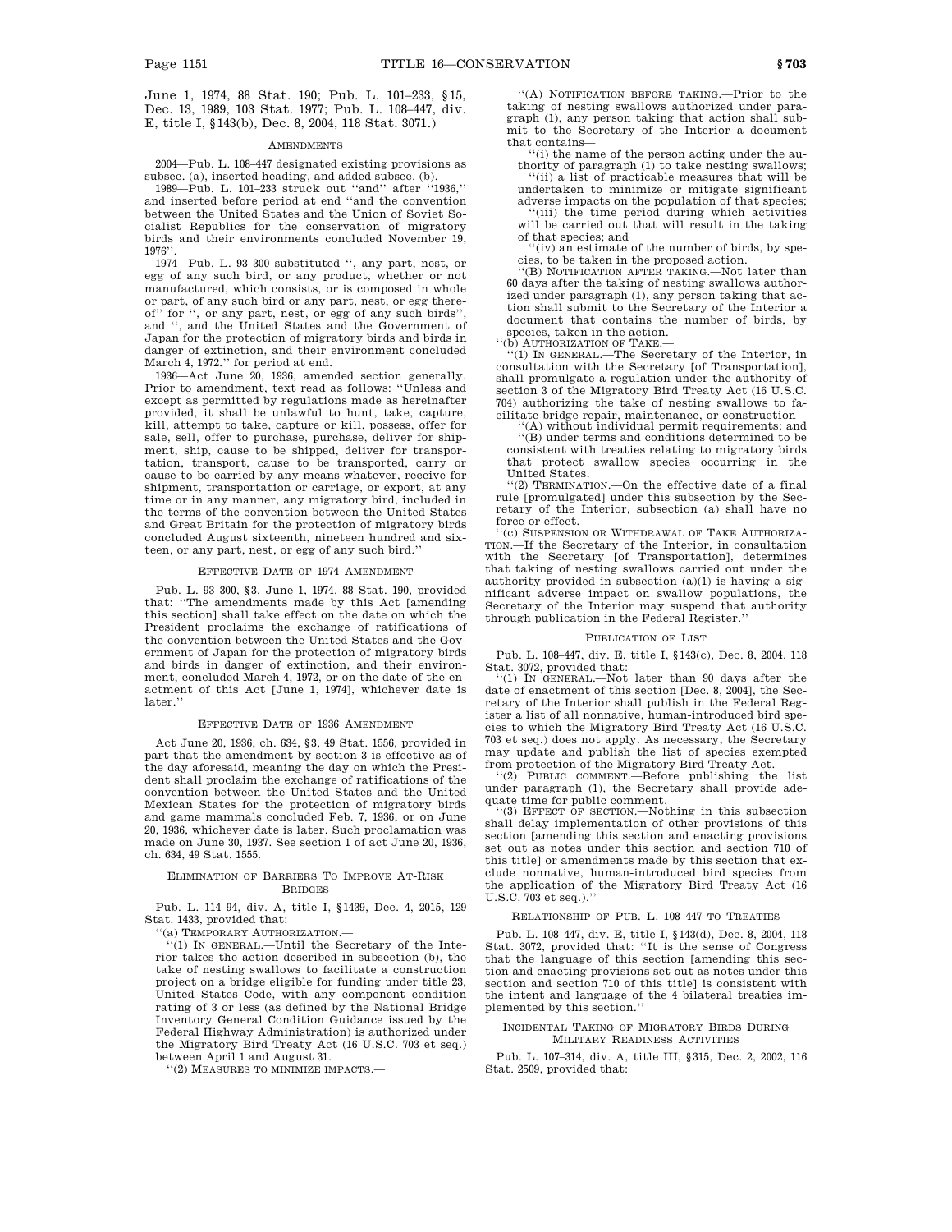June 1, 1974, 88 Stat. 190; Pub. L. 101–233, §15, Dec. 13, 1989, 103 Stat. 1977; Pub. L. 108–447, div. E, title I, §143(b), Dec. 8, 2004, 118 Stat. 3071.)

#### **AMENDMENTS**

2004—Pub. L. 108–447 designated existing provisions as subsec. (a), inserted heading, and added subsec. (b).

1989—Pub. L. 101–233 struck out ''and'' after ''1936,'' and inserted before period at end ''and the convention between the United States and the Union of Soviet Socialist Republics for the conservation of migratory birds and their environments concluded November 19, 1976''.

1974—Pub. L. 93–300 substituted '', any part, nest, or egg of any such bird, or any product, whether or not manufactured, which consists, or is composed in whole or part, of any such bird or any part, nest, or egg thereof" for ", or any part, nest, or egg of any such birds" and '', and the United States and the Government of Japan for the protection of migratory birds and birds in danger of extinction, and their environment concluded March 4, 1972.'' for period at end.

1936—Act June 20, 1936, amended section generally. Prior to amendment, text read as follows: ''Unless and except as permitted by regulations made as hereinafter provided, it shall be unlawful to hunt, take, capture, kill, attempt to take, capture or kill, possess, offer for sale, sell, offer to purchase, purchase, deliver for shipment, ship, cause to be shipped, deliver for transportation, transport, cause to be transported, carry or cause to be carried by any means whatever, receive for shipment, transportation or carriage, or export, at any time or in any manner, any migratory bird, included in the terms of the convention between the United States and Great Britain for the protection of migratory birds concluded August sixteenth, nineteen hundred and sixteen, or any part, nest, or egg of any such bird.''

### EFFECTIVE DATE OF 1974 AMENDMENT

Pub. L. 93–300, §3, June 1, 1974, 88 Stat. 190, provided that: ''The amendments made by this Act [amending this section] shall take effect on the date on which the President proclaims the exchange of ratifications of the convention between the United States and the Government of Japan for the protection of migratory birds and birds in danger of extinction, and their environment, concluded March 4, 1972, or on the date of the enactment of this Act [June 1, 1974], whichever date is later.'

### EFFECTIVE DATE OF 1936 AMENDMENT

Act June 20, 1936, ch. 634, §3, 49 Stat. 1556, provided in part that the amendment by section 3 is effective as of the day aforesaid, meaning the day on which the President shall proclaim the exchange of ratifications of the convention between the United States and the United Mexican States for the protection of migratory birds and game mammals concluded Feb. 7, 1936, or on June 20, 1936, whichever date is later. Such proclamation was made on June 30, 1937. See section 1 of act June 20, 1936, ch. 634, 49 Stat. 1555.

# ELIMINATION OF BARRIERS TO IMPROVE AT-RISK **BRIDGES**

Pub. L. 114–94, div. A, title I, §1439, Dec. 4, 2015, 129 Stat. 1433, provided that:

''(a) TEMPORARY AUTHORIZATION.—

 $(1)$  IN GENERAL.—Until the Secretary of the Interior takes the action described in subsection (b), the take of nesting swallows to facilitate a construction project on a bridge eligible for funding under title 23, United States Code, with any component condition rating of 3 or less (as defined by the National Bridge Inventory General Condition Guidance issued by the Federal Highway Administration) is authorized under the Migratory Bird Treaty Act (16 U.S.C. 703 et seq.) between April 1 and August 31.

''(2) MEASURES TO MINIMIZE IMPACTS.—

''(A) NOTIFICATION BEFORE TAKING.—Prior to the taking of nesting swallows authorized under paragraph (1), any person taking that action shall submit to the Secretary of the Interior a document

that contains— ''(i) the name of the person acting under the au-

thority of paragraph (1) to take nesting swallows; ''(ii) a list of practicable measures that will be undertaken to minimize or mitigate significant adverse impacts on the population of that species;

''(iii) the time period during which activities will be carried out that will result in the taking of that species; and

''(iv) an estimate of the number of birds, by species, to be taken in the proposed action.

''(B) NOTIFICATION AFTER TAKING.—Not later than 60 days after the taking of nesting swallows authorized under paragraph (1), any person taking that action shall submit to the Secretary of the Interior a document that contains the number of birds, by species, taken in the action.

''(b) AUTHORIZATION OF TAKE.— ''(1) IN GENERAL.—The Secretary of the Interior, in consultation with the Secretary [of Transportation], shall promulgate a regulation under the authority of section 3 of the Migratory Bird Treaty Act (16 U.S.C. 704) authorizing the take of nesting swallows to facilitate bridge repair, maintenance, or construction—

(A) without individual permit requirements; and ''(B) under terms and conditions determined to be

consistent with treaties relating to migratory birds that protect swallow species occurring in the United States.

''(2) TERMINATION.—On the effective date of a final rule [promulgated] under this subsection by the Secretary of the Interior, subsection (a) shall have no force or effect.

''(c) SUSPENSION OR WITHDRAWAL OF TAKE AUTHORIZA-TION.—If the Secretary of the Interior, in consultation with the Secretary [of Transportation], determines that taking of nesting swallows carried out under the authority provided in subsection (a)(1) is having a significant adverse impact on swallow populations, the Secretary of the Interior may suspend that authority through publication in the Federal Register.''

#### PUBLICATION OF LIST

Pub. L. 108–447, div. E, title I, §143(c), Dec. 8, 2004, 118 Stat. 3072, provided that:

''(1) IN GENERAL.—Not later than 90 days after the date of enactment of this section [Dec. 8, 2004], the Secretary of the Interior shall publish in the Federal Register a list of all nonnative, human-introduced bird species to which the Migratory Bird Treaty Act (16 U.S.C. 703 et seq.) does not apply. As necessary, the Secretary may update and publish the list of species exempted

from protection of the Migratory Bird Treaty Act. ''(2) PUBLIC COMMENT.—Before publishing the list under paragraph (1), the Secretary shall provide adequate time for public comment.

''(3) EFFECT OF SECTION.—Nothing in this subsection shall delay implementation of other provisions of this section [amending this section and enacting provisions set out as notes under this section and section 710 of this title] or amendments made by this section that exclude nonnative, human-introduced bird species from the application of the Migratory Bird Treaty Act (16 U.S.C. 703 et seq.).''

## RELATIONSHIP OF PUB. L. 108–447 TO TREATIES

Pub. L. 108–447, div. E, title I, §143(d), Dec. 8, 2004, 118 Stat. 3072, provided that: ''It is the sense of Congress that the language of this section [amending this section and enacting provisions set out as notes under this section and section 710 of this title] is consistent with the intent and language of the 4 bilateral treaties implemented by this section.''

### INCIDENTAL TAKING OF MIGRATORY BIRDS DURING MILITARY READINESS ACTIVITIES

Pub. L. 107–314, div. A, title III, §315, Dec. 2, 2002, 116 Stat. 2509, provided that: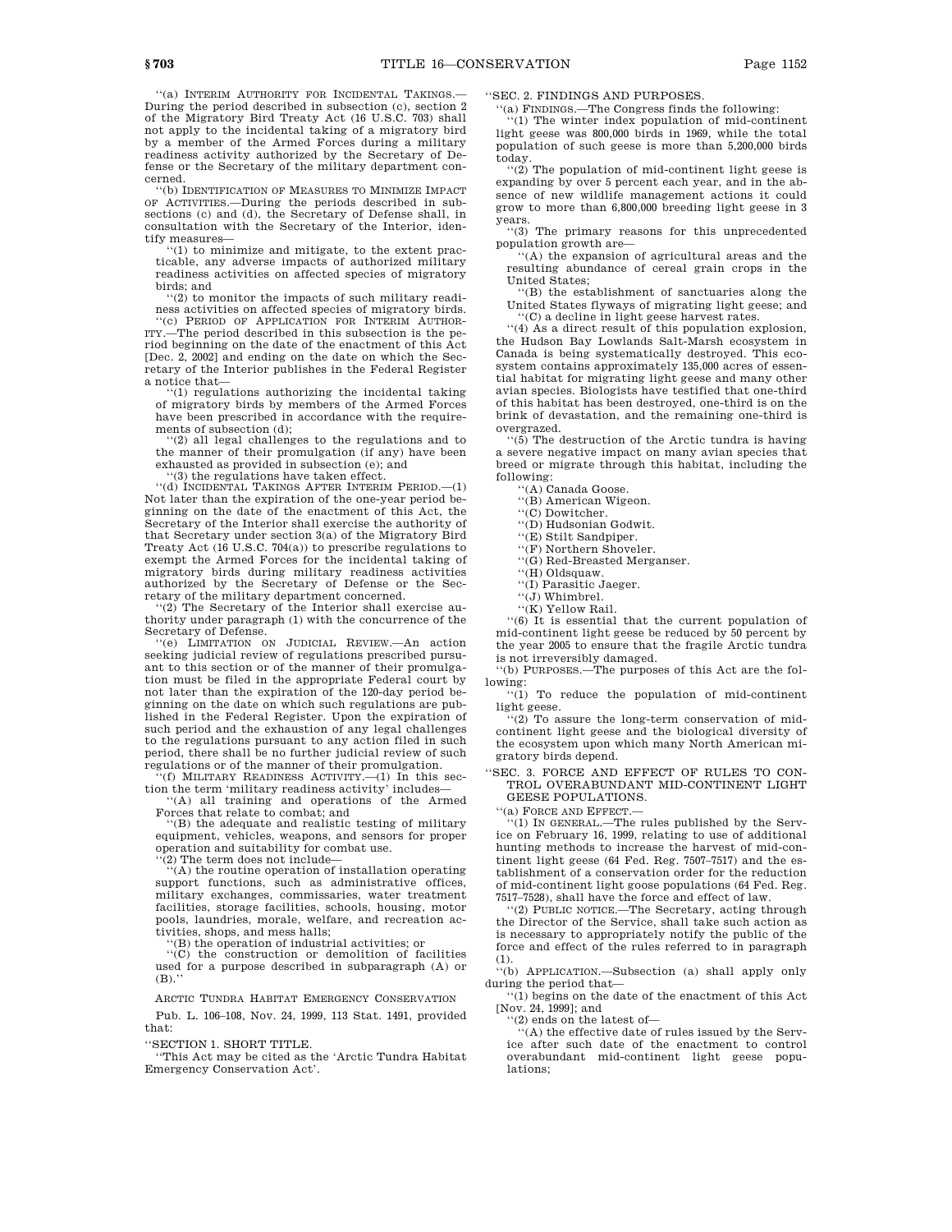''(a) INTERIM AUTHORITY FOR INCIDENTAL TAKINGS.— During the period described in subsection (c), section 2 of the Migratory Bird Treaty Act (16 U.S.C. 703) shall not apply to the incidental taking of a migratory bird by a member of the Armed Forces during a military readiness activity authorized by the Secretary of Defense or the Secretary of the military department concerned.

''(b) IDENTIFICATION OF MEASURES TO MINIMIZE IMPACT OF ACTIVITIES.—During the periods described in subsections (c) and (d), the Secretary of Defense shall, in consultation with the Secretary of the Interior, identify measures—

'(1) to minimize and mitigate, to the extent practicable, any adverse impacts of authorized military readiness activities on affected species of migratory birds; and

 $(2)$  to monitor the impacts of such military readiness activities on affected species of migratory birds. ''(c) PERIOD OF APPLICATION FOR INTERIM AUTHOR-

ITY.—The period described in this subsection is the period beginning on the date of the enactment of this Act [Dec. 2, 2002] and ending on the date on which the Secretary of the Interior publishes in the Federal Register a notice that—

''(1) regulations authorizing the incidental taking of migratory birds by members of the Armed Forces have been prescribed in accordance with the requirements of subsection (d);

''(2) all legal challenges to the regulations and to the manner of their promulgation (if any) have been exhausted as provided in subsection (e); and

'(3) the regulations have taken effect.

'(d) INCIDENTAL TAKINGS AFTER INTERIM PERIOD. $-(1)$ Not later than the expiration of the one-year period beginning on the date of the enactment of this Act, the Secretary of the Interior shall exercise the authority of that Secretary under section 3(a) of the Migratory Bird Treaty Act (16 U.S.C. 704(a)) to prescribe regulations to exempt the Armed Forces for the incidental taking of migratory birds during military readiness activities authorized by the Secretary of Defense or the Secretary of the military department concerned.

'(2) The Secretary of the Interior shall exercise authority under paragraph (1) with the concurrence of the Secretary of Defense.

''(e) LIMITATION ON JUDICIAL REVIEW.—An action seeking judicial review of regulations prescribed pursuant to this section or of the manner of their promulgation must be filed in the appropriate Federal court by not later than the expiration of the 120-day period beginning on the date on which such regulations are published in the Federal Register. Upon the expiration of such period and the exhaustion of any legal challenges to the regulations pursuant to any action filed in such period, there shall be no further judicial review of such regulations or of the manner of their promulgation.<br>
"(f) MILITARY READINESS ACTIVITY.—(1) In this sec-

tion the term 'military readiness activity' includes—

''(A) all training and operations of the Armed Forces that relate to combat; and

''(B) the adequate and realistic testing of military equipment, vehicles, weapons, and sensors for proper operation and suitability for combat use. ''(2) The term does not include—

''(A) the routine operation of installation operating support functions, such as administrative offices, military exchanges, commissaries, water treatment facilities, storage facilities, schools, housing, motor pools, laundries, morale, welfare, and recreation activities, shops, and mess halls;

''(B) the operation of industrial activities; or

''(C) the construction or demolition of facilities used for a purpose described in subparagraph (A) or  $(B)$ .

ARCTIC TUNDRA HABITAT EMERGENCY CONSERVATION

Pub. L. 106–108, Nov. 24, 1999, 113 Stat. 1491, provided that:

''SECTION 1. SHORT TITLE.

''This Act may be cited as the 'Arctic Tundra Habitat Emergency Conservation Act'.

''SEC. 2. FINDINGS AND PURPOSES.

''(a) FINDINGS.—The Congress finds the following:

''(1) The winter index population of mid-continent light geese was 800,000 birds in 1969, while the total population of such geese is more than 5,200,000 birds today.

''(2) The population of mid-continent light geese is expanding by over 5 percent each year, and in the absence of new wildlife management actions it could grow to more than 6,800,000 breeding light geese in 3 years.

''(3) The primary reasons for this unprecedented population growth are—

''(A) the expansion of agricultural areas and the resulting abundance of cereal grain crops in the United States;

''(B) the establishment of sanctuaries along the United States flyways of migrating light geese; and ''(C) a decline in light geese harvest rates.

''(4) As a direct result of this population explosion, the Hudson Bay Lowlands Salt-Marsh ecosystem in

Canada is being systematically destroyed. This ecosystem contains approximately 135,000 acres of essential habitat for migrating light geese and many other avian species. Biologists have testified that one-third of this habitat has been destroyed, one-third is on the brink of devastation, and the remaining one-third is overgrazed.

''(5) The destruction of the Arctic tundra is having a severe negative impact on many avian species that breed or migrate through this habitat, including the following:

''(A) Canada Goose.

''(B) American Wigeon. ''(C) Dowitcher.

''(D) Hudsonian Godwit.

''(E) Stilt Sandpiper.

''(F) Northern Shoveler.

''(G) Red-Breasted Merganser.

''(H) Oldsquaw.

''(I) Parasitic Jaeger.

 $\cdots(j)$  Whimbrel.

''(K) Yellow Rail.

''(6) It is essential that the current population of mid-continent light geese be reduced by 50 percent by the year 2005 to ensure that the fragile Arctic tundra is not irreversibly damaged.

''(b) PURPOSES.—The purposes of this Act are the following:

''(1) To reduce the population of mid-continent light geese.

''(2) To assure the long-term conservation of midcontinent light geese and the biological diversity of the ecosystem upon which many North American migratory birds depend.

''SEC. 3. FORCE AND EFFECT OF RULES TO CON-TROL OVERABUNDANT MID-CONTINENT LIGHT GEESE POPULATIONS.

''(a) FORCE AND EFFECT.—

''(1) IN GENERAL.—The rules published by the Service on February 16, 1999, relating to use of additional hunting methods to increase the harvest of mid-continent light geese (64 Fed. Reg. 7507–7517) and the establishment of a conservation order for the reduction of mid-continent light goose populations (64 Fed. Reg. 7517–7528), shall have the force and effect of law.

''(2) PUBLIC NOTICE.—The Secretary, acting through the Director of the Service, shall take such action as is necessary to appropriately notify the public of the force and effect of the rules referred to in paragraph (1).

''(b) APPLICATION.—Subsection (a) shall apply only during the period that—

''(1) begins on the date of the enactment of this Act [Nov. 24, 1999]; and

''(2) ends on the latest of—

''(A) the effective date of rules issued by the Service after such date of the enactment to control overabundant mid-continent light geese populations;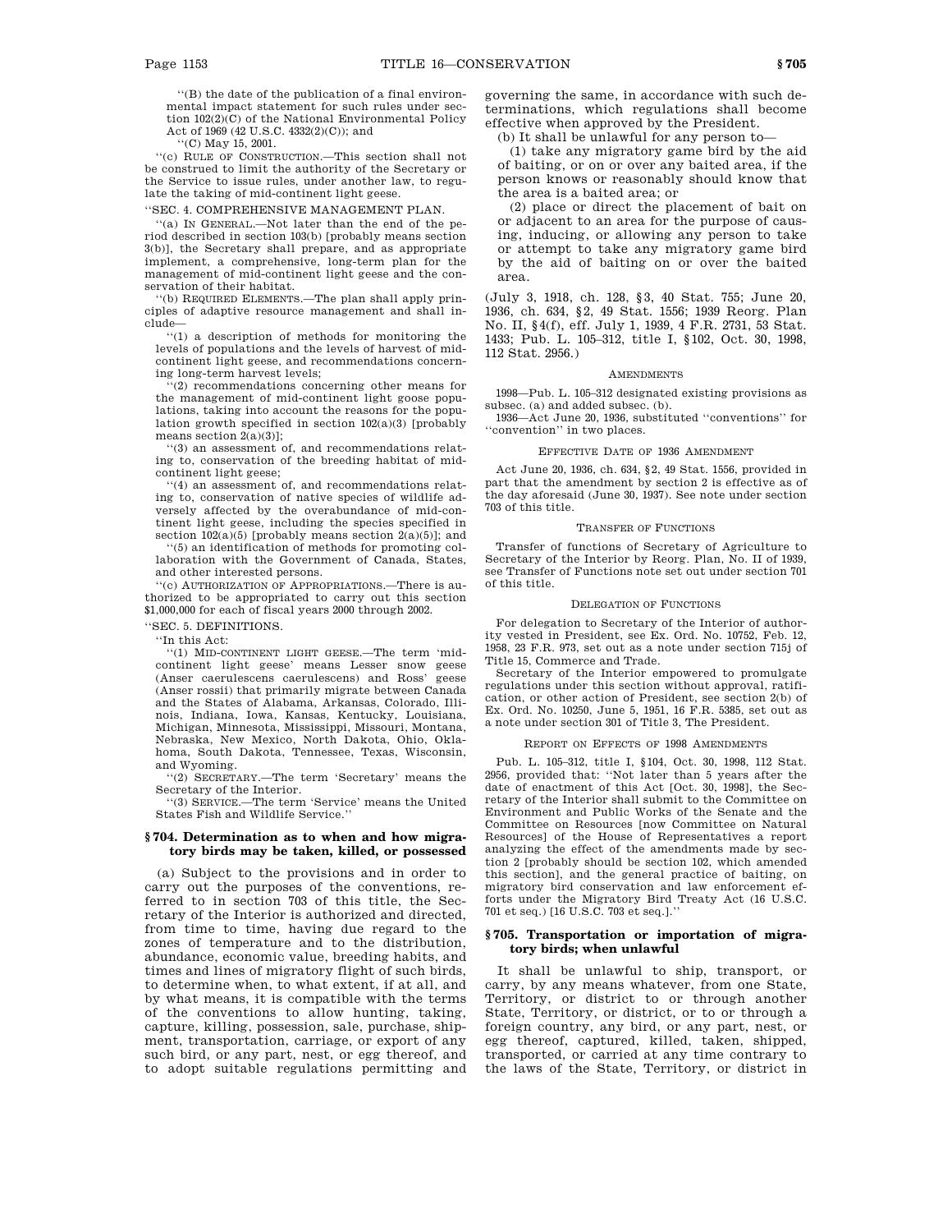''(B) the date of the publication of a final environmental impact statement for such rules under section 102(2)(C) of the National Environmental Policy Act of 1969 (42 U.S.C. 4332(2)(C)); and

''(C) May 15, 2001.

''(c) RULE OF CONSTRUCTION.—This section shall not be construed to limit the authority of the Secretary or the Service to issue rules, under another law, to regulate the taking of mid-continent light geese.

''SEC. 4. COMPREHENSIVE MANAGEMENT PLAN.

''(a) IN GENERAL.—Not later than the end of the period described in section 103(b) [probably means section 3(b)], the Secretary shall prepare, and as appropriate implement, a comprehensive, long-term plan for the management of mid-continent light geese and the conservation of their habitat.

''(b) REQUIRED ELEMENTS.—The plan shall apply principles of adaptive resource management and shall include—

''(1) a description of methods for monitoring the levels of populations and the levels of harvest of midcontinent light geese, and recommendations concerning long-term harvest levels;

'(2) recommendations concerning other means for the management of mid-continent light goose populations, taking into account the reasons for the population growth specified in section 102(a)(3) [probably means section  $2(a)(3)$ ];

''(3) an assessment of, and recommendations relating to, conservation of the breeding habitat of midcontinent light geese;

''(4) an assessment of, and recommendations relating to, conservation of native species of wildlife adversely affected by the overabundance of mid-continent light geese, including the species specified in section  $102(a)(5)$  [probably means section  $2(a)(5)$ ]; and

''(5) an identification of methods for promoting collaboration with the Government of Canada, States, and other interested persons.

'(c) AUTHORIZATION OF APPROPRIATIONS.—There is authorized to be appropriated to carry out this section \$1,000,000 for each of fiscal years 2000 through 2002.

''SEC. 5. DEFINITIONS.

''In this Act:

''(1) MID-CONTINENT LIGHT GEESE.—The term 'midcontinent light geese' means Lesser snow geese (Anser caerulescens caerulescens) and Ross' geese (Anser rossii) that primarily migrate between Canada and the States of Alabama, Arkansas, Colorado, Illinois, Indiana, Iowa, Kansas, Kentucky, Louisiana, Michigan, Minnesota, Mississippi, Missouri, Montana, Nebraska, New Mexico, North Dakota, Ohio, Oklahoma, South Dakota, Tennessee, Texas, Wisconsin, and Wyoming.

''(2) SECRETARY.—The term 'Secretary' means the Secretary of the Interior.

''(3) SERVICE.—The term 'Service' means the United States Fish and Wildlife Service.''

## **§ 704. Determination as to when and how migratory birds may be taken, killed, or possessed**

(a) Subject to the provisions and in order to carry out the purposes of the conventions, referred to in section 703 of this title, the Secretary of the Interior is authorized and directed, from time to time, having due regard to the zones of temperature and to the distribution, abundance, economic value, breeding habits, and times and lines of migratory flight of such birds, to determine when, to what extent, if at all, and by what means, it is compatible with the terms of the conventions to allow hunting, taking, capture, killing, possession, sale, purchase, shipment, transportation, carriage, or export of any such bird, or any part, nest, or egg thereof, and to adopt suitable regulations permitting and governing the same, in accordance with such determinations, which regulations shall become effective when approved by the President.

(b) It shall be unlawful for any person to—

(1) take any migratory game bird by the aid of baiting, or on or over any baited area, if the person knows or reasonably should know that the area is a baited area; or

(2) place or direct the placement of bait on or adjacent to an area for the purpose of causing, inducing, or allowing any person to take or attempt to take any migratory game bird by the aid of baiting on or over the baited area.

(July 3, 1918, ch. 128, §3, 40 Stat. 755; June 20, 1936, ch. 634, §2, 49 Stat. 1556; 1939 Reorg. Plan No. II, §4(f), eff. July 1, 1939, 4 F.R. 2731, 53 Stat. 1433; Pub. L. 105–312, title I, §102, Oct. 30, 1998, 112 Stat. 2956.)

### AMENDMENTS

1998—Pub. L. 105–312 designated existing provisions as subsec. (a) and added subsec. (b).

1936—Act June 20, 1936, substituted ''conventions'' for ''convention'' in two places.

### EFFECTIVE DATE OF 1936 AMENDMENT

Act June 20, 1936, ch. 634, §2, 49 Stat. 1556, provided in part that the amendment by section 2 is effective as of the day aforesaid (June 30, 1937). See note under section 703 of this title.

### TRANSFER OF FUNCTIONS

Transfer of functions of Secretary of Agriculture to Secretary of the Interior by Reorg. Plan, No. II of 1939, see Transfer of Functions note set out under section 701 of this title.

# DELEGATION OF FUNCTIONS

For delegation to Secretary of the Interior of authority vested in President, see Ex. Ord. No. 10752, Feb. 12, 1958, 23 F.R. 973, set out as a note under section 715j of Title 15, Commerce and Trade.

Secretary of the Interior empowered to promulgate regulations under this section without approval, ratification, or other action of President, see section 2(b) of Ex. Ord. No. 10250, June 5, 1951, 16 F.R. 5385, set out as a note under section 301 of Title 3, The President.

### REPORT ON EFFECTS OF 1998 AMENDMENTS

Pub. L. 105–312, title I, §104, Oct. 30, 1998, 112 Stat. 2956, provided that: ''Not later than 5 years after the date of enactment of this Act [Oct. 30, 1998], the Secretary of the Interior shall submit to the Committee on Environment and Public Works of the Senate and the Committee on Resources [now Committee on Natural Resources] of the House of Representatives a report analyzing the effect of the amendments made by section 2 [probably should be section 102, which amended this section], and the general practice of baiting, on migratory bird conservation and law enforcement efforts under the Migratory Bird Treaty Act (16 U.S.C. 701 et seq.) [16 U.S.C. 703 et seq.].''

### **§ 705. Transportation or importation of migratory birds; when unlawful**

It shall be unlawful to ship, transport, or carry, by any means whatever, from one State, Territory, or district to or through another State, Territory, or district, or to or through a foreign country, any bird, or any part, nest, or egg thereof, captured, killed, taken, shipped, transported, or carried at any time contrary to the laws of the State, Territory, or district in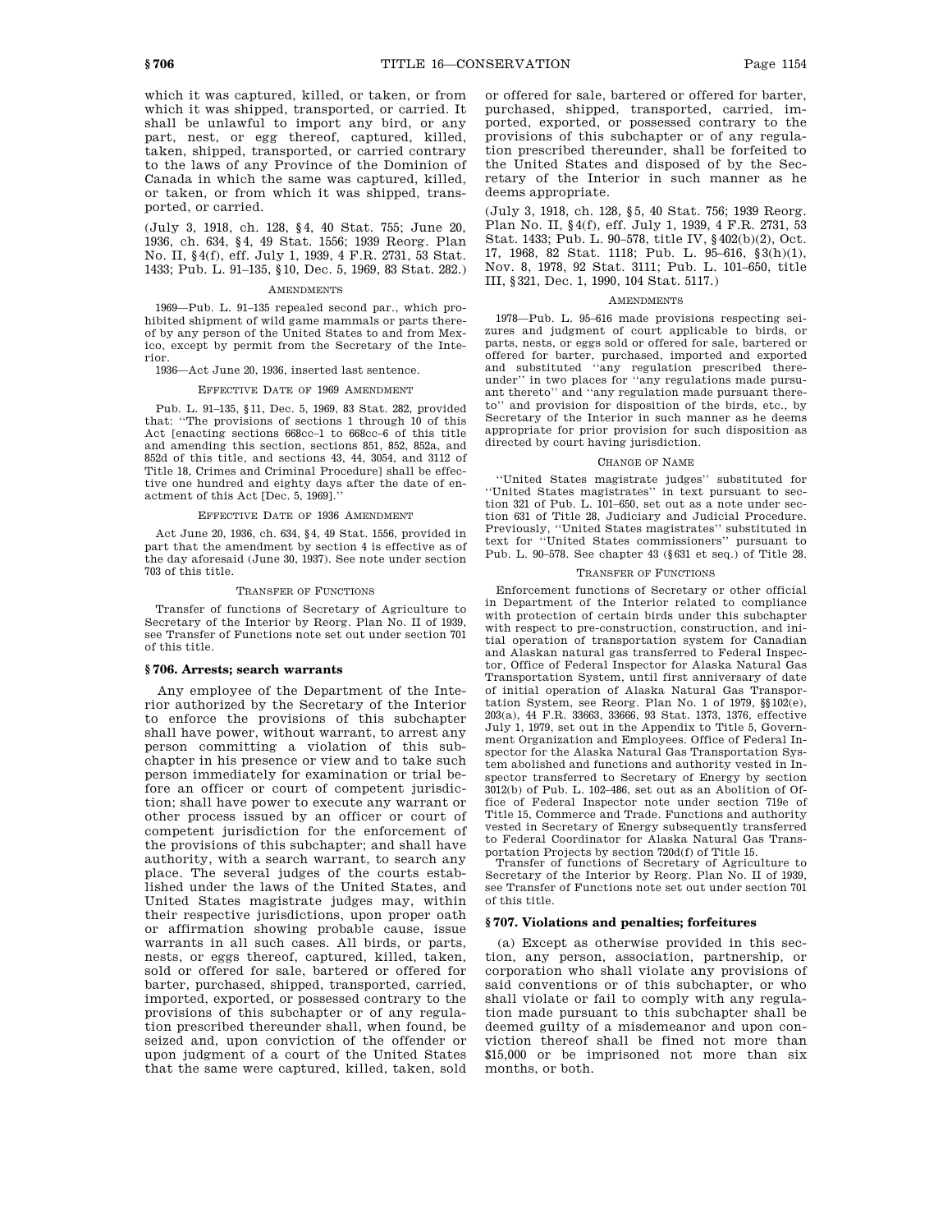which it was captured, killed, or taken, or from which it was shipped, transported, or carried. It shall be unlawful to import any bird, or any part, nest, or egg thereof, captured, killed, taken, shipped, transported, or carried contrary to the laws of any Province of the Dominion of Canada in which the same was captured, killed, or taken, or from which it was shipped, transported, or carried.

(July 3, 1918, ch. 128, §4, 40 Stat. 755; June 20, 1936, ch. 634, §4, 49 Stat. 1556; 1939 Reorg. Plan No. II, §4(f), eff. July 1, 1939, 4 F.R. 2731, 53 Stat. 1433; Pub. L. 91–135, §10, Dec. 5, 1969, 83 Stat. 282.)

#### AMENDMENTS

1969—Pub. L. 91–135 repealed second par., which prohibited shipment of wild game mammals or parts thereof by any person of the United States to and from Mexico, except by permit from the Secretary of the Interior.

1936—Act June 20, 1936, inserted last sentence.

### EFFECTIVE DATE OF 1969 AMENDMENT

Pub. L. 91–135, §11, Dec. 5, 1969, 83 Stat. 282, provided that: ''The provisions of sections 1 through 10 of this Act [enacting sections 668cc–1 to 668cc–6 of this title and amending this section, sections 851, 852, 852a, and 852d of this title, and sections 43, 44, 3054, and 3112 of Title 18, Crimes and Criminal Procedure] shall be effective one hundred and eighty days after the date of enactment of this Act [Dec. 5, 1969].

### EFFECTIVE DATE OF 1936 AMENDMENT

Act June 20, 1936, ch. 634, §4, 49 Stat. 1556, provided in part that the amendment by section 4 is effective as of the day aforesaid (June 30, 1937). See note under section 703 of this title.

#### TRANSFER OF FUNCTIONS

Transfer of functions of Secretary of Agriculture to Secretary of the Interior by Reorg. Plan No. II of 1939, see Transfer of Functions note set out under section 701 of this title.

# **§ 706. Arrests; search warrants**

Any employee of the Department of the Interior authorized by the Secretary of the Interior to enforce the provisions of this subchapter shall have power, without warrant, to arrest any person committing a violation of this subchapter in his presence or view and to take such person immediately for examination or trial before an officer or court of competent jurisdiction; shall have power to execute any warrant or other process issued by an officer or court of competent jurisdiction for the enforcement of the provisions of this subchapter; and shall have authority, with a search warrant, to search any place. The several judges of the courts established under the laws of the United States, and United States magistrate judges may, within their respective jurisdictions, upon proper oath or affirmation showing probable cause, issue warrants in all such cases. All birds, or parts, nests, or eggs thereof, captured, killed, taken, sold or offered for sale, bartered or offered for barter, purchased, shipped, transported, carried, imported, exported, or possessed contrary to the provisions of this subchapter or of any regulation prescribed thereunder shall, when found, be seized and, upon conviction of the offender or upon judgment of a court of the United States that the same were captured, killed, taken, sold or offered for sale, bartered or offered for barter, purchased, shipped, transported, carried, imported, exported, or possessed contrary to the provisions of this subchapter or of any regulation prescribed thereunder, shall be forfeited to the United States and disposed of by the Secretary of the Interior in such manner as he deems appropriate.

(July 3, 1918, ch. 128, §5, 40 Stat. 756; 1939 Reorg. Plan No. II, §4(f), eff. July 1, 1939, 4 F.R. 2731, 53 Stat. 1433; Pub. L. 90–578, title IV, §402(b)(2), Oct. 17, 1968, 82 Stat. 1118; Pub. L. 95–616, §3(h)(1), Nov. 8, 1978, 92 Stat. 3111; Pub. L. 101–650, title III, §321, Dec. 1, 1990, 104 Stat. 5117.)

### AMENDMENTS

1978—Pub. L. 95–616 made provisions respecting seizures and judgment of court applicable to birds, or parts, nests, or eggs sold or offered for sale, bartered or offered for barter, purchased, imported and exported and substituted ''any regulation prescribed thereunder'' in two places for ''any regulations made pursuant thereto'' and ''any regulation made pursuant thereto'' and provision for disposition of the birds, etc., by Secretary of the Interior in such manner as he deems appropriate for prior provision for such disposition as directed by court having jurisdiction.

### CHANGE OF NAME

''United States magistrate judges'' substituted for ''United States magistrates'' in text pursuant to section 321 of Pub. L. 101–650, set out as a note under section 631 of Title 28, Judiciary and Judicial Procedure. Previously, ''United States magistrates'' substituted in text for ''United States commissioners'' pursuant to Pub. L. 90–578. See chapter 43 (§631 et seq.) of Title 28.

### TRANSFER OF FUNCTIONS

Enforcement functions of Secretary or other official in Department of the Interior related to compliance with protection of certain birds under this subchapter with respect to pre-construction, construction, and initial operation of transportation system for Canadian and Alaskan natural gas transferred to Federal Inspector, Office of Federal Inspector for Alaska Natural Gas Transportation System, until first anniversary of date of initial operation of Alaska Natural Gas Transportation System, see Reorg. Plan No. 1 of 1979, §§102(e), 203(a), 44 F.R. 33663, 33666, 93 Stat. 1373, 1376, effective July 1, 1979, set out in the Appendix to Title 5, Government Organization and Employees. Office of Federal Inspector for the Alaska Natural Gas Transportation System abolished and functions and authority vested in Inspector transferred to Secretary of Energy by section 3012(b) of Pub. L. 102–486, set out as an Abolition of Office of Federal Inspector note under section 719e of Title 15, Commerce and Trade. Functions and authority vested in Secretary of Energy subsequently transferred to Federal Coordinator for Alaska Natural Gas Transportation Projects by section 720d(f) of Title 15.

Transfer of functions of Secretary of Agriculture to Secretary of the Interior by Reorg. Plan No. II of 1939, see Transfer of Functions note set out under section 701 of this title.

### **§ 707. Violations and penalties; forfeitures**

(a) Except as otherwise provided in this section, any person, association, partnership, or corporation who shall violate any provisions of said conventions or of this subchapter, or who shall violate or fail to comply with any regulation made pursuant to this subchapter shall be deemed guilty of a misdemeanor and upon conviction thereof shall be fined not more than \$15,000 or be imprisoned not more than six months, or both.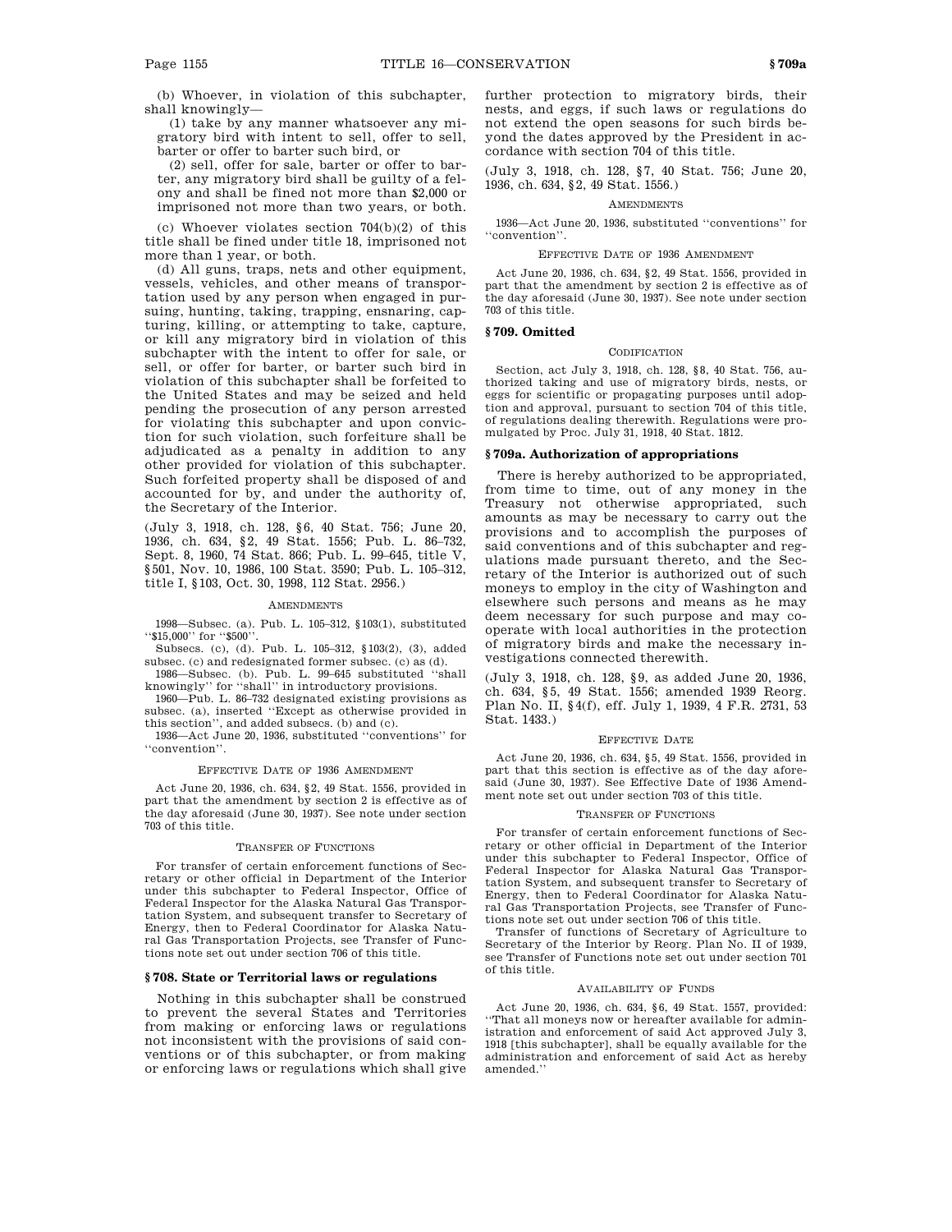(b) Whoever, in violation of this subchapter, shall knowingly—

(1) take by any manner whatsoever any migratory bird with intent to sell, offer to sell, barter or offer to barter such bird, or

(2) sell, offer for sale, barter or offer to barter, any migratory bird shall be guilty of a felony and shall be fined not more than \$2,000 or imprisoned not more than two years, or both.

(c) Whoever violates section 704(b)(2) of this title shall be fined under title 18, imprisoned not more than 1 year, or both.

(d) All guns, traps, nets and other equipment, vessels, vehicles, and other means of transportation used by any person when engaged in pursuing, hunting, taking, trapping, ensnaring, capturing, killing, or attempting to take, capture, or kill any migratory bird in violation of this subchapter with the intent to offer for sale, or sell, or offer for barter, or barter such bird in violation of this subchapter shall be forfeited to the United States and may be seized and held pending the prosecution of any person arrested for violating this subchapter and upon conviction for such violation, such forfeiture shall be adjudicated as a penalty in addition to any other provided for violation of this subchapter. Such forfeited property shall be disposed of and accounted for by, and under the authority of, the Secretary of the Interior.

(July 3, 1918, ch. 128, §6, 40 Stat. 756; June 20, 1936, ch. 634, §2, 49 Stat. 1556; Pub. L. 86–732, Sept. 8, 1960, 74 Stat. 866; Pub. L. 99–645, title V, §501, Nov. 10, 1986, 100 Stat. 3590; Pub. L. 105–312, title I, §103, Oct. 30, 1998, 112 Stat. 2956.)

#### AMENDMENTS

1998—Subsec. (a). Pub. L. 105–312, §103(1), substituted ''\$15,000'' for ''\$500''.

Subsecs. (c), (d). Pub. L. 105–312, §103(2), (3), added subsec. (c) and redesignated former subsec. (c) as (d).

1986—Subsec. (b). Pub. L. 99–645 substituted ''shall knowingly'' for ''shall'' in introductory provisions.

1960—Pub. L. 86–732 designated existing provisions as subsec. (a), inserted ''Except as otherwise provided in this section'', and added subsecs. (b) and (c).

1936—Act June 20, 1936, substituted ''conventions'' for ''convention''.

### EFFECTIVE DATE OF 1936 AMENDMENT

Act June 20, 1936, ch. 634, §2, 49 Stat. 1556, provided in part that the amendment by section 2 is effective as of the day aforesaid (June 30, 1937). See note under section 703 of this title.

#### TRANSFER OF FUNCTIONS

For transfer of certain enforcement functions of Secretary or other official in Department of the Interior under this subchapter to Federal Inspector, Office of Federal Inspector for the Alaska Natural Gas Transportation System, and subsequent transfer to Secretary of Energy, then to Federal Coordinator for Alaska Natural Gas Transportation Projects, see Transfer of Functions note set out under section 706 of this title.

### **§ 708. State or Territorial laws or regulations**

Nothing in this subchapter shall be construed to prevent the several States and Territories from making or enforcing laws or regulations not inconsistent with the provisions of said conventions or of this subchapter, or from making or enforcing laws or regulations which shall give further protection to migratory birds, their nests, and eggs, if such laws or regulations do not extend the open seasons for such birds beyond the dates approved by the President in accordance with section 704 of this title.

(July 3, 1918, ch. 128, §7, 40 Stat. 756; June 20, 1936, ch. 634, §2, 49 Stat. 1556.)

### **AMENDMENTS**

1936—Act June 20, 1936, substituted ''conventions'' for ''convention''.

## EFFECTIVE DATE OF 1936 AMENDMENT

Act June 20, 1936, ch. 634, §2, 49 Stat. 1556, provided in part that the amendment by section 2 is effective as of the day aforesaid (June 30, 1937). See note under section 703 of this title.

### **§ 709. Omitted**

#### CODIFICATION

Section, act July 3, 1918, ch. 128, §8, 40 Stat. 756, authorized taking and use of migratory birds, nests, or eggs for scientific or propagating purposes until adoption and approval, pursuant to section 704 of this title, of regulations dealing therewith. Regulations were promulgated by Proc. July 31, 1918, 40 Stat. 1812.

### **§ 709a. Authorization of appropriations**

There is hereby authorized to be appropriated, from time to time, out of any money in the Treasury not otherwise appropriated, such amounts as may be necessary to carry out the provisions and to accomplish the purposes of said conventions and of this subchapter and regulations made pursuant thereto, and the Secretary of the Interior is authorized out of such moneys to employ in the city of Washington and elsewhere such persons and means as he may deem necessary for such purpose and may cooperate with local authorities in the protection of migratory birds and make the necessary investigations connected therewith.

(July 3, 1918, ch. 128, §9, as added June 20, 1936, ch. 634, §5, 49 Stat. 1556; amended 1939 Reorg. Plan No. II, §4(f), eff. July 1, 1939, 4 F.R. 2731, 53 Stat. 1433.)

#### EFFECTIVE DATE

Act June 20, 1936, ch. 634, §5, 49 Stat. 1556, provided in part that this section is effective as of the day aforesaid (June 30, 1937). See Effective Date of 1936 Amendment note set out under section 703 of this title.

#### TRANSFER OF FUNCTIONS

For transfer of certain enforcement functions of Secretary or other official in Department of the Interior under this subchapter to Federal Inspector, Office of Federal Inspector for Alaska Natural Gas Transportation System, and subsequent transfer to Secretary of Energy, then to Federal Coordinator for Alaska Natural Gas Transportation Projects, see Transfer of Functions note set out under section 706 of this title.

Transfer of functions of Secretary of Agriculture to Secretary of the Interior by Reorg. Plan No. II of 1939, see Transfer of Functions note set out under section 701 of this title.

### AVAILABILITY OF FUNDS

Act June 20, 1936, ch. 634, §6, 49 Stat. 1557, provided: ''That all moneys now or hereafter available for administration and enforcement of said Act approved July 3, 1918 [this subchapter], shall be equally available for the administration and enforcement of said Act as hereby amended.''